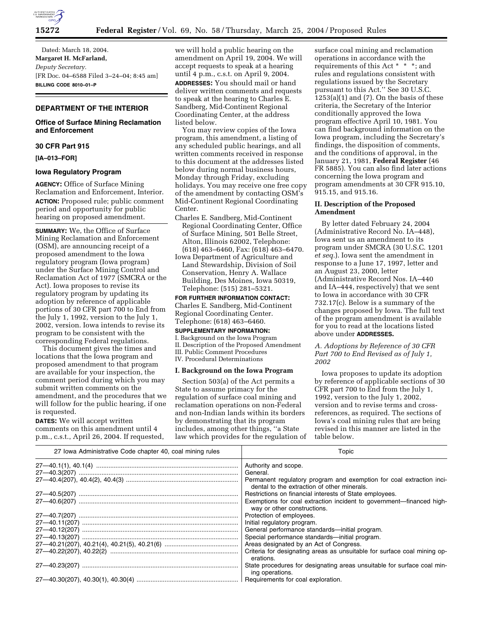

Dated: March 18, 2004. **Margaret H. McFarland,**  *Deputy Secretary.* [FR Doc. 04–6588 Filed 3–24–04; 8:45 am] **BILLING CODE 8010–01–P**

# **DEPARTMENT OF THE INTERIOR**

# **Office of Surface Mining Reclamation and Enforcement**

# **30 CFR Part 915**

**[IA–013–FOR]** 

# **Iowa Regulatory Program**

**AGENCY:** Office of Surface Mining Reclamation and Enforcement, Interior. **ACTION:** Proposed rule; public comment period and opportunity for public hearing on proposed amendment.

**SUMMARY:** We, the Office of Surface Mining Reclamation and Enforcement (OSM), are announcing receipt of a proposed amendment to the Iowa regulatory program (Iowa program) under the Surface Mining Control and Reclamation Act of 1977 (SMCRA or the Act). Iowa proposes to revise its regulatory program by updating its adoption by reference of applicable portions of 30 CFR part 700 to End from the July 1, 1992, version to the July 1, 2002, version. Iowa intends to revise its program to be consistent with the corresponding Federal regulations.

This document gives the times and locations that the Iowa program and proposed amendment to that program are available for your inspection, the comment period during which you may submit written comments on the amendment, and the procedures that we will follow for the public hearing, if one is requested.

**DATES:** We will accept written comments on this amendment until 4 p.m., c.s.t., April 26, 2004. If requested, we will hold a public hearing on the amendment on April 19, 2004. We will accept requests to speak at a hearing until 4 p.m., c.s.t. on April 9, 2004.

**ADDRESSES:** You should mail or hand deliver written comments and requests to speak at the hearing to Charles E. Sandberg, Mid-Continent Regional Coordinating Center, at the address listed below.

You may review copies of the Iowa program, this amendment, a listing of any scheduled public hearings, and all written comments received in response to this document at the addresses listed below during normal business hours, Monday through Friday, excluding holidays. You may receive one free copy of the amendment by contacting OSM's Mid-Continent Regional Coordinating Center.

- Charles E. Sandberg, Mid-Continent Regional Coordinating Center, Office of Surface Mining, 501 Belle Street, Alton, Illinois 62002, Telephone: (618) 463–6460, Fax: (618) 463–6470.
- Iowa Department of Agriculture and Land Stewardship, Division of Soil Conservation, Henry A. Wallace Building, Des Moines, Iowa 50319, Telephone: (515) 281–5321.

**FOR FURTHER INFORMATION CONTACT:** Charles E. Sandberg, Mid-Continent Regional Coordinating Center. Telephone: (618) 463–6460.

#### **SUPPLEMENTARY INFORMATION:**

I. Background on the Iowa Program II. Description of the Proposed Amendment III. Public Comment Procedures IV. Procedural Determinations

# **I. Background on the Iowa Program**

Section 503(a) of the Act permits a State to assume primacy for the regulation of surface coal mining and reclamation operations on non-Federal and non-Indian lands within its borders by demonstrating that its program includes, among other things, ''a State law which provides for the regulation of

surface coal mining and reclamation operations in accordance with the requirements of this Act \* \* \*; and rules and regulations consistent with regulations issued by the Secretary pursuant to this Act.'' See 30 U.S.C.  $1253(a)(1)$  and  $(7)$ . On the basis of these criteria, the Secretary of the Interior conditionally approved the Iowa program effective April 10, 1981. You can find background information on the Iowa program, including the Secretary's findings, the disposition of comments, and the conditions of approval, in the January 21, 1981, **Federal Register** (46 FR 5885). You can also find later actions concerning the Iowa program and program amendments at 30 CFR 915.10, 915.15, and 915.16.

## **II. Description of the Proposed Amendment**

By letter dated February 24, 2004 (Administrative Record No. IA–448), Iowa sent us an amendment to its program under SMCRA (30 U.S.C. 1201 *et seq.*). Iowa sent the amendment in response to a June 17, 1997, letter and an August 23, 2000, letter (Administrative Record Nos. IA–440 and IA–444, respectively) that we sent to Iowa in accordance with 30 CFR 732.17(c). Below is a summary of the changes proposed by Iowa. The full text of the program amendment is available for you to read at the locations listed above under **ADDRESSES.**

*A. Adoptions by Reference of 30 CFR Part 700 to End Revised as of July 1, 2002* 

Iowa proposes to update its adoption by reference of applicable sections of 30 CFR part 700 to End from the July 1, 1992, version to the July 1, 2002, version and to revise terms and crossreferences, as required. The sections of Iowa's coal mining rules that are being revised in this manner are listed in the table below.

| 27 Iowa Administrative Code chapter 40, coal mining rules | Topic                                                                                                               |
|-----------------------------------------------------------|---------------------------------------------------------------------------------------------------------------------|
| 27—40.1(1), 40.1(4) ………………………………………………………………………           | Authority and scope.                                                                                                |
|                                                           | General.                                                                                                            |
|                                                           | Permanent regulatory program and exemption for coal extraction inci-<br>dental to the extraction of other minerals. |
|                                                           | Restrictions on financial interests of State employees.                                                             |
|                                                           | Exemptions for coal extraction incident to government—financed high-<br>way or other constructions.                 |
|                                                           | Protection of employees.                                                                                            |
| 27—40.11(207) …………………………………………………………………………                | Initial regulatory program.                                                                                         |
| 27—40.12(207) ……………………………………………………………………………               | General performance standards-initial program.                                                                      |
| 27—40.13(207) …………………………………………………………………………                | Special performance standards—initial program.                                                                      |
|                                                           | Areas designated by an Act of Congress.                                                                             |
|                                                           | Criteria for designating areas as unsuitable for surface coal mining op-<br>erations.                               |
|                                                           | State procedures for designating areas unsuitable for surface coal min-<br>ing operations.                          |
|                                                           |                                                                                                                     |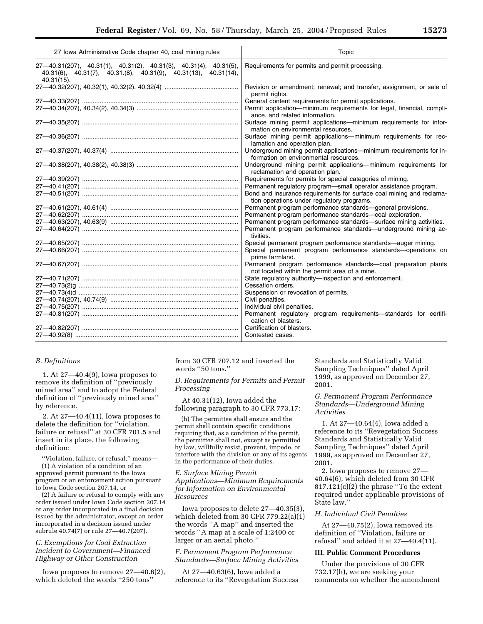| 27 Iowa Administrative Code chapter 40, coal mining rules                                                                                                                              | Topic                                                                                                                                                                                                                                               |
|----------------------------------------------------------------------------------------------------------------------------------------------------------------------------------------|-----------------------------------------------------------------------------------------------------------------------------------------------------------------------------------------------------------------------------------------------------|
| $27-40.31(207)$ , $40.31(1)$ , $40.31(2)$ , $40.31(3)$ , $40.31(4)$ , $40.31(5)$ ,<br>$40.31(6)$ , $40.31(7)$ , $40.31(8)$ , $40.31(9)$ , $40.31(13)$ , $40.31(14)$ ,<br>$40.31(15)$ . | Requirements for permits and permit processing.                                                                                                                                                                                                     |
|                                                                                                                                                                                        | Revision or amendment; renewal; and transfer, assignment, or sale of<br>permit rights.                                                                                                                                                              |
|                                                                                                                                                                                        | General content requirements for permit applications.<br>Permit application—minimum requirements for legal, financial, compli-<br>ance, and related information.                                                                                    |
|                                                                                                                                                                                        | Surface mining permit applications-minimum requirements for infor-<br>mation on environmental resources.                                                                                                                                            |
|                                                                                                                                                                                        | Surface mining permit applications-minimum requirements for rec-<br>lamation and operation plan.                                                                                                                                                    |
|                                                                                                                                                                                        | Underground mining permit applications—minimum requirements for in-<br>formation on environmental resources.                                                                                                                                        |
|                                                                                                                                                                                        | Underground mining permit applications-minimum requirements for<br>reclamation and operation plan.                                                                                                                                                  |
| 27—40.51(207) ……………………………………………………………………………                                                                                                                                            | Requirements for permits for special categories of mining.<br>Permanent regulatory program-small operator assistance program.<br>Bond and insurance requirements for surface coal mining and reclama-<br>tion operations under regulatory programs. |
|                                                                                                                                                                                        | Permanent program performance standards-general provisions.<br>Permanent program performance standards-coal exploration.                                                                                                                            |
| 27—40.64(207) …………………………………………………………………………                                                                                                                                             | Permanent program performance standards—surface mining activities.<br>Permanent program performance standards—underground mining ac-<br>tivities.                                                                                                   |
|                                                                                                                                                                                        | Special permanent program performance standards—auger mining.<br>Special permanent program performance standards-operations on<br>prime farmland.                                                                                                   |
|                                                                                                                                                                                        | Permanent program performance standards-coal preparation plants<br>not located within the permit area of a mine.                                                                                                                                    |
| 27—40.71(207) ……………………………………………………………………………                                                                                                                                            | State regulatory authority-inspection and enforcement.<br>Cessation orders.                                                                                                                                                                         |
|                                                                                                                                                                                        | Suspension or revocation of permits.<br>Civil penalties.                                                                                                                                                                                            |
|                                                                                                                                                                                        | Individual civil penalties.<br>Permanent regulatory program requirements-standards for certifi-<br>cation of blasters.                                                                                                                              |
| 27—40.92(8) …………………………………………………………………………………                                                                                                                                            | Certification of blasters.<br>Contested cases.                                                                                                                                                                                                      |

#### *B. Definitions*

1. At 27—40.4(9), Iowa proposes to remove its definition of ''previously mined area'' and to adopt the Federal definition of ''previously mined area'' by reference.

2. At 27—40.4(11), Iowa proposes to delete the definition for ''violation, failure or refusal'' at 30 CFR 701.5 and insert in its place, the following definition:

''Violation, failure, or refusal,'' means— (1) A violation of a condition of an approved permit pursuant to the Iowa program or an enforcement action pursuant to Iowa Code section 207.14, or

(2) A failure or refusal to comply with any order issued under Iowa Code section 207.14 or any order incorporated in a final decision issued by the administrator, except an order incorporated in a decision issued under subrule 40.74(7) or rule 27—40.7(207).

# *C. Exemptions for Coal Extraction Incident to Government—Financed Highway or Other Construction*

Iowa proposes to remove 27—40.6(2), which deleted the words ''250 tons''

from 30 CFR 707.12 and inserted the words ''50 tons.''

*D. Requirements for Permits and Permit Processing* 

At 40.31(12), Iowa added the following paragraph to 30 CFR 773.17:

(h) The permittee shall ensure and the permit shall contain specific conditions requiring that, as a condition of the permit, the permittee shall not, except as permitted by law, willfully resist, prevent, impede, or interfere with the division or any of its agents in the performance of their duties.

*E. Surface Mining Permit Applications—Minimum Requirements for Information on Environmental Resources* 

Iowa proposes to delete 27—40.35(3), which deleted from 30 CFR 779.22(a)(1) the words ''A map'' and inserted the words ''A map at a scale of 1:2400 or larger or an aerial photo.''

*F. Permanent Program Performance Standards—Surface Mining Activities* 

At 27—40.63(6), Iowa added a reference to its ''Revegetation Success Standards and Statistically Valid Sampling Techniques'' dated April 1999, as approved on December 27, 2001.

*G. Permanent Program Performance Standards—Underground Mining Activities* 

1. At 27—40.64(4), Iowa added a reference to its ''Revegetation Success Standards and Statistically Valid Sampling Techniques'' dated April 1999, as approved on December 27, 2001.

2. Iowa proposes to remove 27— 40.64(6), which deleted from 30 CFR 817.121(c)(2) the phrase ''To the extent required under applicable provisions of State law.''

#### *H. Individual Civil Penalties*

At 27—40.75(2), Iowa removed its definition of ''Violation, failure or refusal'' and added it at 27—40.4(11).

#### **III. Public Comment Procedures**

Under the provisions of 30 CFR 732.17(h), we are seeking your comments on whether the amendment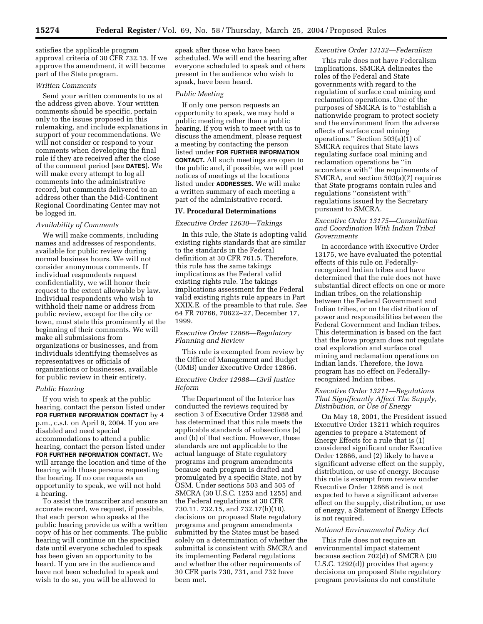satisfies the applicable program approval criteria of 30 CFR 732.15. If we approve the amendment, it will become part of the State program.

## *Written Comments*

Send your written comments to us at the address given above. Your written comments should be specific, pertain only to the issues proposed in this rulemaking, and include explanations in support of your recommendations. We will not consider or respond to your comments when developing the final rule if they are received after the close of the comment period (see **DATES**). We will make every attempt to log all comments into the administrative record, but comments delivered to an address other than the Mid-Continent Regional Coordinating Center may not be logged in.

# *Availability of Comments*

We will make comments, including names and addresses of respondents, available for public review during normal business hours. We will not consider anonymous comments. If individual respondents request confidentiality, we will honor their request to the extent allowable by law. Individual respondents who wish to withhold their name or address from public review, except for the city or town, must state this prominently at the beginning of their comments. We will make all submissions from organizations or businesses, and from individuals identifying themselves as representatives or officials of organizations or businesses, available for public review in their entirety.

#### *Public Hearing*

If you wish to speak at the public hearing, contact the person listed under **FOR FURTHER INFORMATION CONTACT** by 4 p.m., c.s.t. on April 9, 2004. If you are disabled and need special accommodations to attend a public hearing, contact the person listed under **FOR FURTHER INFORMATION CONTACT.** We will arrange the location and time of the hearing with those persons requesting the hearing. If no one requests an opportunity to speak, we will not hold a hearing.

To assist the transcriber and ensure an accurate record, we request, if possible, that each person who speaks at the public hearing provide us with a written copy of his or her comments. The public hearing will continue on the specified date until everyone scheduled to speak has been given an opportunity to be heard. If you are in the audience and have not been scheduled to speak and wish to do so, you will be allowed to

speak after those who have been scheduled. We will end the hearing after everyone scheduled to speak and others present in the audience who wish to speak, have been heard.

#### *Public Meeting*

If only one person requests an opportunity to speak, we may hold a public meeting rather than a public hearing. If you wish to meet with us to discuss the amendment, please request a meeting by contacting the person listed under **FOR FURTHER INFORMATION CONTACT.** All such meetings are open to the public and, if possible, we will post notices of meetings at the locations listed under **ADDRESSES.** We will make a written summary of each meeting a part of the administrative record.

## **IV. Procedural Determinations**

#### *Executive Order 12630—Takings*

In this rule, the State is adopting valid existing rights standards that are similar to the standards in the Federal definition at 30 CFR 761.5. Therefore, this rule has the same takings implications as the Federal valid existing rights rule. The takings implications assessment for the Federal valid existing rights rule appears in Part XXIX.E. of the preamble to that rule. *See* 64 FR 70766, 70822–27, December 17, 1999.

# *Executive Order 12866—Regulatory Planning and Review*

This rule is exempted from review by the Office of Management and Budget (OMB) under Executive Order 12866.

## *Executive Order 12988—Civil Justice Reform*

The Department of the Interior has conducted the reviews required by section 3 of Executive Order 12988 and has determined that this rule meets the applicable standards of subsections (a) and (b) of that section. However, these standards are not applicable to the actual language of State regulatory programs and program amendments because each program is drafted and promulgated by a specific State, not by OSM. Under sections 503 and 505 of SMCRA (30 U.S.C. 1253 and 1255) and the Federal regulations at 30 CFR 730.11, 732.15, and 732.17(h)(10), decisions on proposed State regulatory programs and program amendments submitted by the States must be based solely on a determination of whether the submittal is consistent with SMCRA and its implementing Federal regulations and whether the other requirements of 30 CFR parts 730, 731, and 732 have been met.

# *Executive Order 13132—Federalism*

This rule does not have Federalism implications. SMCRA delineates the roles of the Federal and State governments with regard to the regulation of surface coal mining and reclamation operations. One of the purposes of SMCRA is to ''establish a nationwide program to protect society and the environment from the adverse effects of surface coal mining operations.'' Section 503(a)(1) of SMCRA requires that State laws regulating surface coal mining and reclamation operations be ''in accordance with'' the requirements of SMCRA, and section 503(a)(7) requires that State programs contain rules and regulations ''consistent with'' regulations issued by the Secretary pursuant to SMCRA.

# *Executive Order 13175—Consultation and Coordination With Indian Tribal Governments*

In accordance with Executive Order 13175, we have evaluated the potential effects of this rule on Federallyrecognized Indian tribes and have determined that the rule does not have substantial direct effects on one or more Indian tribes, on the relationship between the Federal Government and Indian tribes, or on the distribution of power and responsibilities between the Federal Government and Indian tribes. This determination is based on the fact that the Iowa program does not regulate coal exploration and surface coal mining and reclamation operations on Indian lands. Therefore, the Iowa program has no effect on Federallyrecognized Indian tribes.

# *Executive Order 13211—Regulations That Significantly Affect The Supply, Distribution, or Use of Energy*

On May 18, 2001, the President issued Executive Order 13211 which requires agencies to prepare a Statement of Energy Effects for a rule that is (1) considered significant under Executive Order 12866, and (2) likely to have a significant adverse effect on the supply, distribution, or use of energy. Because this rule is exempt from review under Executive Order 12866 and is not expected to have a significant adverse effect on the supply, distribution, or use of energy, a Statement of Energy Effects is not required.

#### *National Environmental Policy Act*

This rule does not require an environmental impact statement because section 702(d) of SMCRA (30 U.S.C. 1292(d)) provides that agency decisions on proposed State regulatory program provisions do not constitute